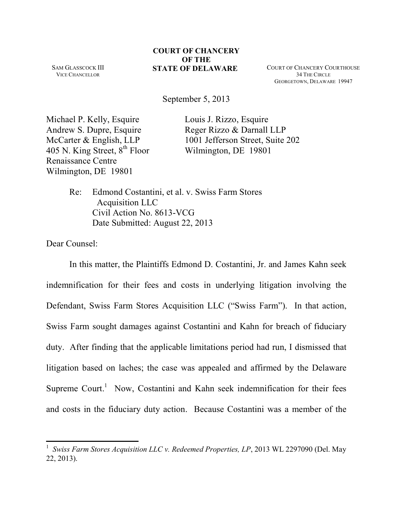SAM GLASSCOCK III VICE CHANCELLOR

**STATE OF DELAWARE** COURT OF CHANCERY COURTHOUSE 34 THE CIRCLE GEORGETOWN, DELAWARE 19947

September 5, 2013

Michael P. Kelly, Esquire Louis J. Rizzo, Esquire Andrew S. Dupre, Esquire Reger Rizzo & Darnall LLP 405 N. King Street,  $8^{th}$  Floor Wilmington, DE 19801 Renaissance Centre Wilmington, DE 19801

McCarter & English, LLP 1001 Jefferson Street, Suite 202

Re: Edmond Costantini, et al. v. Swiss Farm Stores Acquisition LLC Civil Action No. 8613-VCG Date Submitted: August 22, 2013

Dear Counsel:

In this matter, the Plaintiffs Edmond D. Costantini, Jr. and James Kahn seek indemnification for their fees and costs in underlying litigation involving the Defendant, Swiss Farm Stores Acquisition LLC ("Swiss Farm"). In that action, Swiss Farm sought damages against Costantini and Kahn for breach of fiduciary duty. After finding that the applicable limitations period had run, I dismissed that litigation based on laches; the case was appealed and affirmed by the Delaware Supreme Court.<sup>1</sup> Now, Costantini and Kahn seek indemnification for their fees and costs in the fiduciary duty action. Because Costantini was a member of the

<sup>1</sup> *Swiss Farm Stores Acquisition LLC v. Redeemed Properties, LP*, 2013 WL 2297090 (Del. May 22, 2013).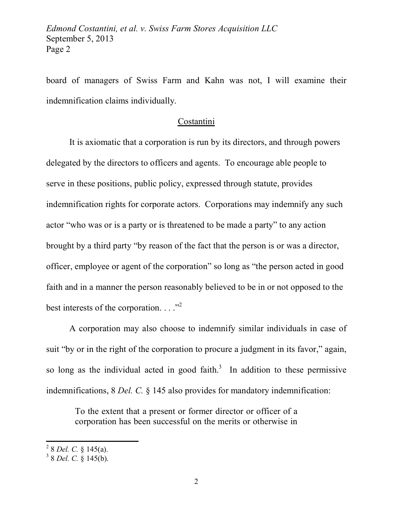board of managers of Swiss Farm and Kahn was not, I will examine their indemnification claims individually.

## Costantini

It is axiomatic that a corporation is run by its directors, and through powers delegated by the directors to officers and agents. To encourage able people to serve in these positions, public policy, expressed through statute, provides indemnification rights for corporate actors. Corporations may indemnify any such actor "who was or is a party or is threatened to be made a party" to any action brought by a third party "by reason of the fact that the person is or was a director, officer, employee or agent of the corporation" so long as "the person acted in good faith and in a manner the person reasonably believed to be in or not opposed to the best interests of the corporation.  $\ldots$ <sup>2</sup>

A corporation may also choose to indemnify similar individuals in case of suit "by or in the right of the corporation to procure a judgment in its favor," again, so long as the individual acted in good faith.<sup>3</sup> In addition to these permissive indemnifications, 8 *Del. C.* § 145 also provides for mandatory indemnification:

To the extent that a present or former director or officer of a corporation has been successful on the merits or otherwise in

<sup>2</sup> 8 *Del. C.* § 145(a).

<sup>3</sup> 8 *Del. C.* § 145(b).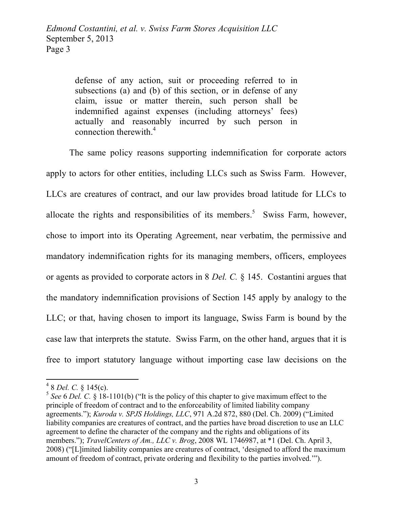defense of any action, suit or proceeding referred to in subsections (a) and (b) of this section, or in defense of any claim, issue or matter therein, such person shall be indemnified against expenses (including attorneys' fees) actually and reasonably incurred by such person in connection therewith.<sup>4</sup>

The same policy reasons supporting indemnification for corporate actors apply to actors for other entities, including LLCs such as Swiss Farm. However, LLCs are creatures of contract, and our law provides broad latitude for LLCs to allocate the rights and responsibilities of its members.<sup>5</sup> Swiss Farm, however, chose to import into its Operating Agreement, near verbatim, the permissive and mandatory indemnification rights for its managing members, officers, employees or agents as provided to corporate actors in 8 *Del. C.* § 145. Costantini argues that the mandatory indemnification provisions of Section 145 apply by analogy to the LLC; or that, having chosen to import its language, Swiss Farm is bound by the case law that interprets the statute. Swiss Farm, on the other hand, argues that it is free to import statutory language without importing case law decisions on the

<sup>4</sup> 8 *Del. C.* § 145(c).

<sup>5</sup> *See* 6 *Del. C.* § 18-1101(b) ("It is the policy of this chapter to give maximum effect to the principle of freedom of contract and to the enforceability of limited liability company agreements."); *Kuroda v. SPJS Holdings, LLC*, 971 A.2d 872, 880 (Del. Ch. 2009) ("Limited liability companies are creatures of contract, and the parties have broad discretion to use an LLC agreement to define the character of the company and the rights and obligations of its members."); *TravelCenters of Am., LLC v. Brog*, 2008 WL 1746987, at \*1 (Del. Ch. April 3, 2008) ("[L]imited liability companies are creatures of contract, 'designed to afford the maximum amount of freedom of contract, private ordering and flexibility to the parties involved.'").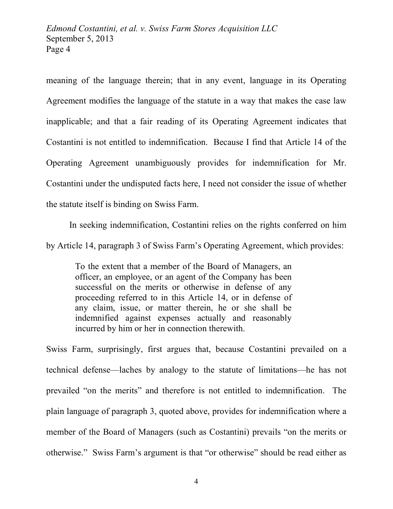meaning of the language therein; that in any event, language in its Operating Agreement modifies the language of the statute in a way that makes the case law inapplicable; and that a fair reading of its Operating Agreement indicates that Costantini is not entitled to indemnification. Because I find that Article 14 of the Operating Agreement unambiguously provides for indemnification for Mr. Costantini under the undisputed facts here, I need not consider the issue of whether the statute itself is binding on Swiss Farm.

In seeking indemnification, Costantini relies on the rights conferred on him by Article 14, paragraph 3 of Swiss Farm's Operating Agreement, which provides:

To the extent that a member of the Board of Managers, an officer, an employee, or an agent of the Company has been successful on the merits or otherwise in defense of any proceeding referred to in this Article 14, or in defense of any claim, issue, or matter therein, he or she shall be indemnified against expenses actually and reasonably incurred by him or her in connection therewith.

Swiss Farm, surprisingly, first argues that, because Costantini prevailed on a technical defense—laches by analogy to the statute of limitations—he has not prevailed "on the merits" and therefore is not entitled to indemnification. The plain language of paragraph 3, quoted above, provides for indemnification where a member of the Board of Managers (such as Costantini) prevails "on the merits or otherwise." Swiss Farm's argument is that "or otherwise" should be read either as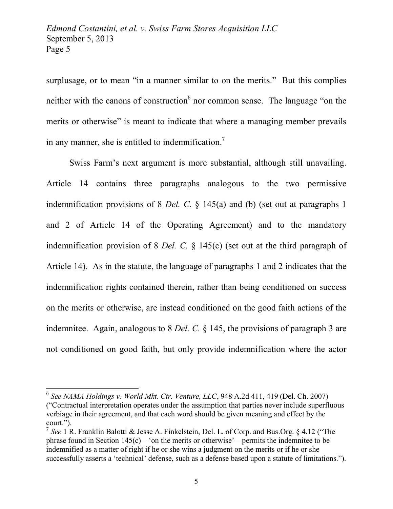surplusage, or to mean "in a manner similar to on the merits." But this complies neither with the canons of construction  $6$  nor common sense. The language "on the merits or otherwise" is meant to indicate that where a managing member prevails in any manner, she is entitled to indemnification.<sup>7</sup>

Swiss Farm's next argument is more substantial, although still unavailing. Article 14 contains three paragraphs analogous to the two permissive indemnification provisions of 8 *Del. C.* § 145(a) and (b) (set out at paragraphs 1 and 2 of Article 14 of the Operating Agreement) and to the mandatory indemnification provision of 8 *Del. C.* § 145(c) (set out at the third paragraph of Article 14). As in the statute, the language of paragraphs 1 and 2 indicates that the indemnification rights contained therein, rather than being conditioned on success on the merits or otherwise, are instead conditioned on the good faith actions of the indemnitee. Again, analogous to 8 *Del. C.* § 145, the provisions of paragraph 3 are not conditioned on good faith, but only provide indemnification where the actor

<sup>6</sup> *See NAMA Holdings v. World Mkt. Ctr. Venture, LLC*, 948 A.2d 411, 419 (Del. Ch. 2007) ("Contractual interpretation operates under the assumption that parties never include superfluous verbiage in their agreement, and that each word should be given meaning and effect by the court.").

<sup>7</sup> *See* 1 R. Franklin Balotti & Jesse A. Finkelstein, Del. L. of Corp. and Bus.Org. § 4.12 ("The phrase found in Section 145(c)—'on the merits or otherwise'—permits the indemnitee to be indemnified as a matter of right if he or she wins a judgment on the merits or if he or she successfully asserts a 'technical' defense, such as a defense based upon a statute of limitations.").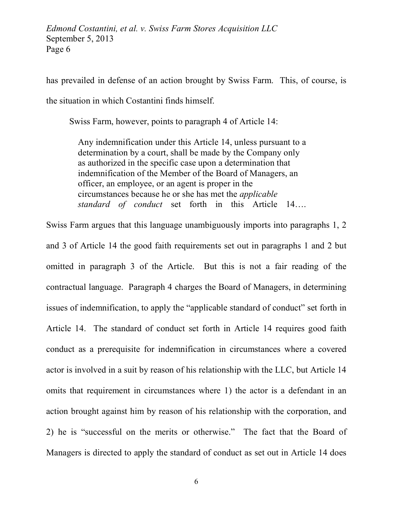has prevailed in defense of an action brought by Swiss Farm. This, of course, is the situation in which Costantini finds himself.

Swiss Farm, however, points to paragraph 4 of Article 14:

Any indemnification under this Article 14, unless pursuant to a determination by a court, shall be made by the Company only as authorized in the specific case upon a determination that indemnification of the Member of the Board of Managers, an officer, an employee, or an agent is proper in the circumstances because he or she has met the *applicable standard of conduct* set forth in this Article 14….

Swiss Farm argues that this language unambiguously imports into paragraphs 1, 2 and 3 of Article 14 the good faith requirements set out in paragraphs 1 and 2 but omitted in paragraph 3 of the Article. But this is not a fair reading of the contractual language. Paragraph 4 charges the Board of Managers, in determining issues of indemnification, to apply the "applicable standard of conduct" set forth in Article 14. The standard of conduct set forth in Article 14 requires good faith conduct as a prerequisite for indemnification in circumstances where a covered actor is involved in a suit by reason of his relationship with the LLC, but Article 14 omits that requirement in circumstances where 1) the actor is a defendant in an action brought against him by reason of his relationship with the corporation, and 2) he is "successful on the merits or otherwise." The fact that the Board of Managers is directed to apply the standard of conduct as set out in Article 14 does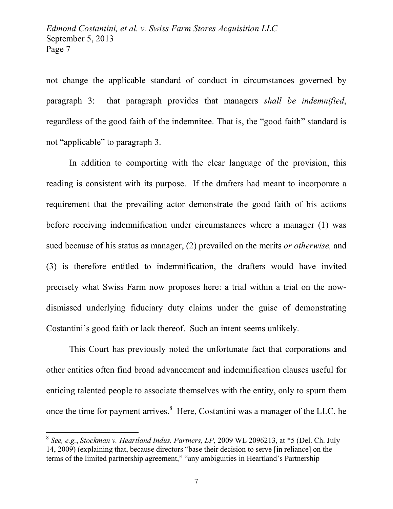not change the applicable standard of conduct in circumstances governed by paragraph 3: that paragraph provides that managers *shall be indemnified*, regardless of the good faith of the indemnitee. That is, the "good faith" standard is not "applicable" to paragraph 3.

In addition to comporting with the clear language of the provision, this reading is consistent with its purpose. If the drafters had meant to incorporate a requirement that the prevailing actor demonstrate the good faith of his actions before receiving indemnification under circumstances where a manager (1) was sued because of his status as manager, (2) prevailed on the merits *or otherwise,* and (3) is therefore entitled to indemnification, the drafters would have invited precisely what Swiss Farm now proposes here: a trial within a trial on the nowdismissed underlying fiduciary duty claims under the guise of demonstrating Costantini's good faith or lack thereof. Such an intent seems unlikely.

This Court has previously noted the unfortunate fact that corporations and other entities often find broad advancement and indemnification clauses useful for enticing talented people to associate themselves with the entity, only to spurn them once the time for payment arrives.<sup>8</sup> Here, Costantini was a manager of the LLC, he

<sup>8</sup> *See, e.g.*, *Stockman v. Heartland Indus. Partners, LP*, 2009 WL 2096213, at \*5 (Del. Ch. July 14, 2009) (explaining that, because directors "base their decision to serve [in reliance] on the terms of the limited partnership agreement," "any ambiguities in Heartland's Partnership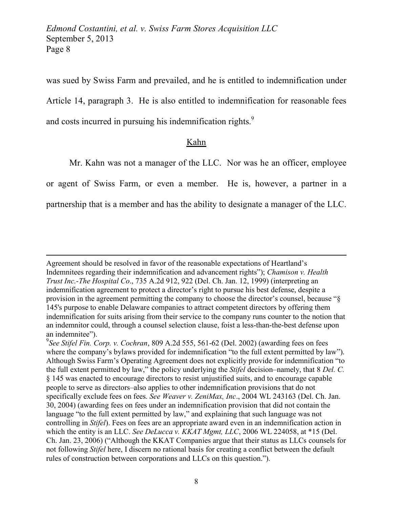was sued by Swiss Farm and prevailed, and he is entitled to indemnification under Article 14, paragraph 3. He is also entitled to indemnification for reasonable fees and costs incurred in pursuing his indemnification rights.<sup>9</sup>

## Kahn

Mr. Kahn was not a manager of the LLC. Nor was he an officer, employee

or agent of Swiss Farm, or even a member. He is, however, a partner in a

partnership that is a member and has the ability to designate a manager of the LLC.

Agreement should be resolved in favor of the reasonable expectations of Heartland's Indemnitees regarding their indemnification and advancement rights"); *Chamison v. Health Trust Inc.-The Hospital Co*., 735 A.2d 912, 922 (Del. Ch. Jan. 12, 1999) (interpreting an indemnification agreement to protect a director's right to pursue his best defense, despite a provision in the agreement permitting the company to choose the director's counsel, because "§ 145's purpose to enable Delaware companies to attract competent directors by offering them indemnification for suits arising from their service to the company runs counter to the notion that an indemnitor could, through a counsel selection clause, foist a less-than-the-best defense upon an indemnitee").

<sup>9</sup> *See Stifel Fin. Corp. v. Cochran*, 809 A.2d 555, 561-62 (Del. 2002) (awarding fees on fees where the company's bylaws provided for indemnification "to the full extent permitted by law"). Although Swiss Farm's Operating Agreement does not explicitly provide for indemnification "to the full extent permitted by law," the policy underlying the *Stifel* decision–namely, that 8 *Del. C.* § 145 was enacted to encourage directors to resist unjustified suits, and to encourage capable people to serve as directors–also applies to other indemnification provisions that do not specifically exclude fees on fees. *See Weaver v. ZeniMax, Inc*., 2004 WL 243163 (Del. Ch. Jan. 30, 2004) (awarding fees on fees under an indemnification provision that did not contain the language "to the full extent permitted by law," and explaining that such language was not controlling in *Stifel*). Fees on fees are an appropriate award even in an indemnification action in which the entity is an LLC. *See DeLucca v. KKAT Mgmt, LLC*, 2006 WL 224058, at \*15 (Del. Ch. Jan. 23, 2006) ("Although the KKAT Companies argue that their status as LLCs counsels for not following *Stifel* here, I discern no rational basis for creating a conflict between the default rules of construction between corporations and LLCs on this question.").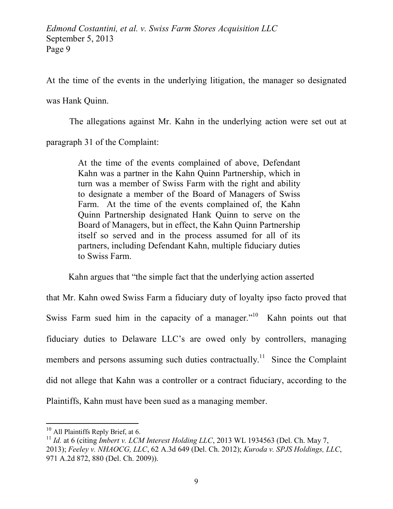At the time of the events in the underlying litigation, the manager so designated

was Hank Quinn.

The allegations against Mr. Kahn in the underlying action were set out at

paragraph 31 of the Complaint:

At the time of the events complained of above, Defendant Kahn was a partner in the Kahn Quinn Partnership, which in turn was a member of Swiss Farm with the right and ability to designate a member of the Board of Managers of Swiss Farm. At the time of the events complained of, the Kahn Quinn Partnership designated Hank Quinn to serve on the Board of Managers, but in effect, the Kahn Quinn Partnership itself so served and in the process assumed for all of its partners, including Defendant Kahn, multiple fiduciary duties to Swiss Farm.

Kahn argues that "the simple fact that the underlying action asserted

that Mr. Kahn owed Swiss Farm a fiduciary duty of loyalty ipso facto proved that Swiss Farm sued him in the capacity of a manager.<sup>"10</sup> Kahn points out that fiduciary duties to Delaware LLC's are owed only by controllers, managing members and persons assuming such duties contractually.<sup>11</sup> Since the Complaint did not allege that Kahn was a controller or a contract fiduciary, according to the Plaintiffs, Kahn must have been sued as a managing member.

<sup>&</sup>lt;sup>10</sup> All Plaintiffs Reply Brief, at 6.

<sup>11</sup> *Id.* at 6 (citing *Imbert v. LCM Interest Holding LLC*, 2013 WL 1934563 (Del. Ch. May 7, 2013); *Feeley v. NHAOCG, LLC*, 62 A.3d 649 (Del. Ch. 2012); *Kuroda v. SPJS Holdings, LLC*, 971 A.2d 872, 880 (Del. Ch. 2009)).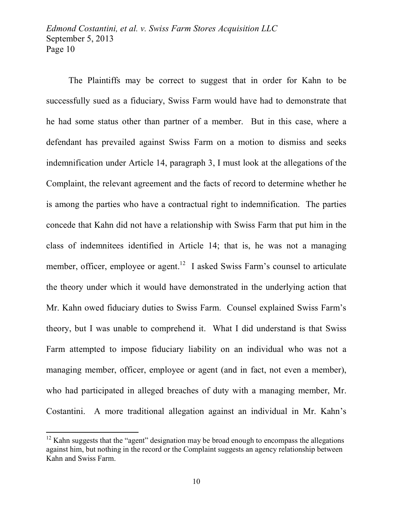The Plaintiffs may be correct to suggest that in order for Kahn to be successfully sued as a fiduciary, Swiss Farm would have had to demonstrate that he had some status other than partner of a member. But in this case, where a defendant has prevailed against Swiss Farm on a motion to dismiss and seeks indemnification under Article 14, paragraph 3, I must look at the allegations of the Complaint, the relevant agreement and the facts of record to determine whether he is among the parties who have a contractual right to indemnification. The parties concede that Kahn did not have a relationship with Swiss Farm that put him in the class of indemnitees identified in Article 14; that is, he was not a managing member, officer, employee or agent.<sup>12</sup> I asked Swiss Farm's counsel to articulate the theory under which it would have demonstrated in the underlying action that Mr. Kahn owed fiduciary duties to Swiss Farm. Counsel explained Swiss Farm's theory, but I was unable to comprehend it. What I did understand is that Swiss Farm attempted to impose fiduciary liability on an individual who was not a managing member, officer, employee or agent (and in fact, not even a member), who had participated in alleged breaches of duty with a managing member, Mr. Costantini. A more traditional allegation against an individual in Mr. Kahn's

 $12$  Kahn suggests that the "agent" designation may be broad enough to encompass the allegations against him, but nothing in the record or the Complaint suggests an agency relationship between Kahn and Swiss Farm.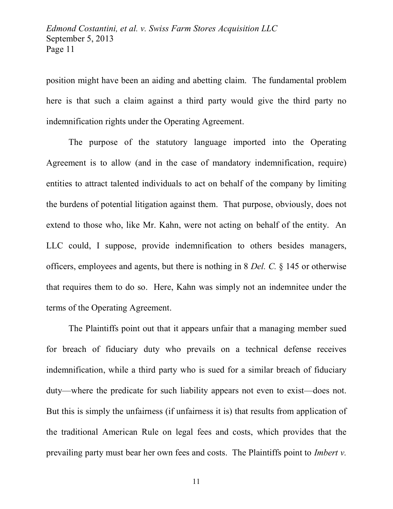position might have been an aiding and abetting claim. The fundamental problem here is that such a claim against a third party would give the third party no indemnification rights under the Operating Agreement.

The purpose of the statutory language imported into the Operating Agreement is to allow (and in the case of mandatory indemnification, require) entities to attract talented individuals to act on behalf of the company by limiting the burdens of potential litigation against them. That purpose, obviously, does not extend to those who, like Mr. Kahn, were not acting on behalf of the entity. An LLC could, I suppose, provide indemnification to others besides managers, officers, employees and agents, but there is nothing in 8 *Del. C.* § 145 or otherwise that requires them to do so. Here, Kahn was simply not an indemnitee under the terms of the Operating Agreement.

The Plaintiffs point out that it appears unfair that a managing member sued for breach of fiduciary duty who prevails on a technical defense receives indemnification, while a third party who is sued for a similar breach of fiduciary duty—where the predicate for such liability appears not even to exist—does not. But this is simply the unfairness (if unfairness it is) that results from application of the traditional American Rule on legal fees and costs, which provides that the prevailing party must bear her own fees and costs. The Plaintiffs point to *Imbert v.*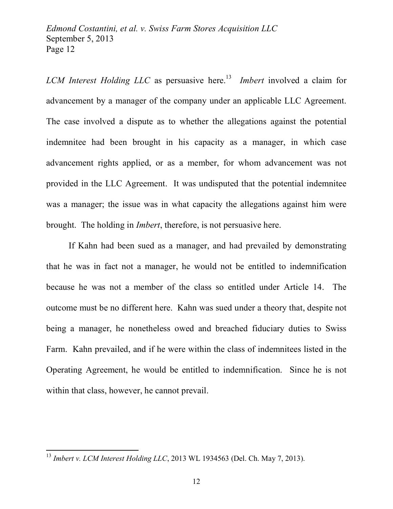*LCM Interest Holding LLC* as persuasive here.<sup>13</sup> *Imbert* involved a claim for advancement by a manager of the company under an applicable LLC Agreement. The case involved a dispute as to whether the allegations against the potential indemnitee had been brought in his capacity as a manager, in which case advancement rights applied, or as a member, for whom advancement was not provided in the LLC Agreement. It was undisputed that the potential indemnitee was a manager; the issue was in what capacity the allegations against him were brought. The holding in *Imbert*, therefore, is not persuasive here.

If Kahn had been sued as a manager, and had prevailed by demonstrating that he was in fact not a manager, he would not be entitled to indemnification because he was not a member of the class so entitled under Article 14. The outcome must be no different here. Kahn was sued under a theory that, despite not being a manager, he nonetheless owed and breached fiduciary duties to Swiss Farm. Kahn prevailed, and if he were within the class of indemnitees listed in the Operating Agreement, he would be entitled to indemnification. Since he is not within that class, however, he cannot prevail.

<sup>13</sup> *Imbert v. LCM Interest Holding LLC*, 2013 WL 1934563 (Del. Ch. May 7, 2013).